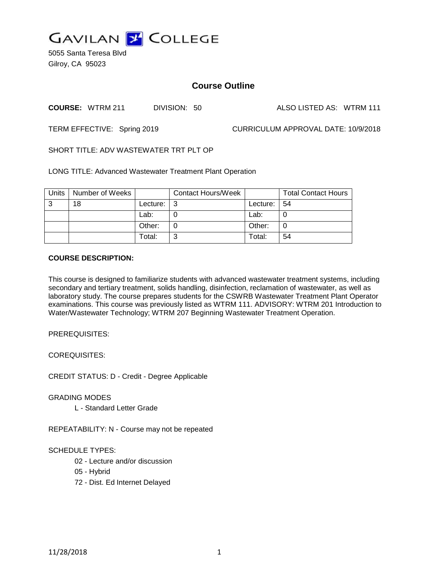

5055 Santa Teresa Blvd Gilroy, CA 95023

# **Course Outline**

**COURSE:** WTRM 211 DIVISION: 50 ALSO LISTED AS: WTRM 111

TERM EFFECTIVE: Spring 2019 CURRICULUM APPROVAL DATE: 10/9/2018

SHORT TITLE: ADV WASTEWATER TRT PLT OP

LONG TITLE: Advanced Wastewater Treatment Plant Operation

| Units | Number of Weeks |            | Contact Hours/Week |                | <b>Total Contact Hours</b> |
|-------|-----------------|------------|--------------------|----------------|----------------------------|
| 3     | 18              | Lecture: I | - 3                | Lecture: $ 54$ |                            |
|       |                 | Lab:       |                    | Lab:           |                            |
|       |                 | Other:     |                    | Other:         |                            |
|       |                 | Total:     | ົ                  | Total:         | 54                         |

#### **COURSE DESCRIPTION:**

This course is designed to familiarize students with advanced wastewater treatment systems, including secondary and tertiary treatment, solids handling, disinfection, reclamation of wastewater, as well as laboratory study. The course prepares students for the CSWRB Wastewater Treatment Plant Operator examinations. This course was previously listed as WTRM 111. ADVISORY: WTRM 201 Introduction to Water/Wastewater Technology; WTRM 207 Beginning Wastewater Treatment Operation.

PREREQUISITES:

COREQUISITES:

CREDIT STATUS: D - Credit - Degree Applicable

GRADING MODES

L - Standard Letter Grade

REPEATABILITY: N - Course may not be repeated

### SCHEDULE TYPES:

- 02 Lecture and/or discussion
- 05 Hybrid
- 72 Dist. Ed Internet Delayed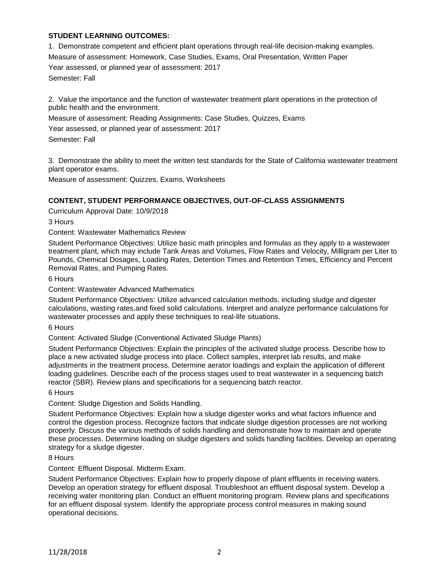### **STUDENT LEARNING OUTCOMES:**

1. Demonstrate competent and efficient plant operations through real-life decision-making examples. Measure of assessment: Homework, Case Studies, Exams, Oral Presentation, Written Paper Year assessed, or planned year of assessment: 2017 Semester: Fall

2. Value the importance and the function of wastewater treatment plant operations in the protection of public health and the environment.

Measure of assessment: Reading Assignments: Case Studies, Quizzes, Exams Year assessed, or planned year of assessment: 2017 Semester: Fall

3. Demonstrate the ability to meet the written test standards for the State of California wastewater treatment plant operator exams.

Measure of assessment: Quizzes, Exams, Worksheets

#### **CONTENT, STUDENT PERFORMANCE OBJECTIVES, OUT-OF-CLASS ASSIGNMENTS**

Curriculum Approval Date: 10/9/2018

3 Hours

Content: Wastewater Mathematics Review

Student Performance Objectives: Utilize basic math principles and formulas as they apply to a wastewater treatment plant, which may include Tank Areas and Volumes, Flow Rates and Velocity, Milligram per Liter to Pounds, Chemical Dosages, Loading Rates, Detention Times and Retention Times, Efficiency and Percent Removal Rates, and Pumping Rates.

6 Hours

Content: Wastewater Advanced Mathematics

Student Performance Objectives: Utilize advanced calculation methods, including sludge and digester calculations, wasting rates,and fixed solid calculations. Interpret and analyze performance calculations for wastewater processes and apply these techniques to real-life situations.

6 Hours

Content: Activated Sludge (Conventional Activated Sludge Plants)

Student Performance Objectives: Explain the principles of the activated sludge process. Describe how to place a new activated sludge process into place. Collect samples, interpret lab results, and make adjustments in the treatment process. Determine aerator loadings and explain the application of different loading guidelines. Describe each of the process stages used to treat wastewater in a sequencing batch reactor (SBR). Review plans and specifications for a sequencing batch reactor.

6 Hours

Content: Sludge Digestion and Solids Handling.

Student Performance Objectives: Explain how a sludge digester works and what factors influence and control the digestion process. Recognize factors that indicate sludge digestion processes are not working properly. Discuss the various methods of solids handling and demonstrate how to maintain and operate these processes. Determine loading on sludge digesters and solids handling facilities. Develop an operating strategy for a sludge digester.

8 Hours

Content: Effluent Disposal. Midterm Exam.

Student Performance Objectives: Explain how to properly dispose of plant effluents in receiving waters. Develop an operation strategy for effluent disposal. Troubleshoot an effluent disposal system. Develop a receiving water monitoring plan. Conduct an effluent monitoring program. Review plans and specifications for an effluent disposal system. Identify the appropriate process control measures in making sound operational decisions.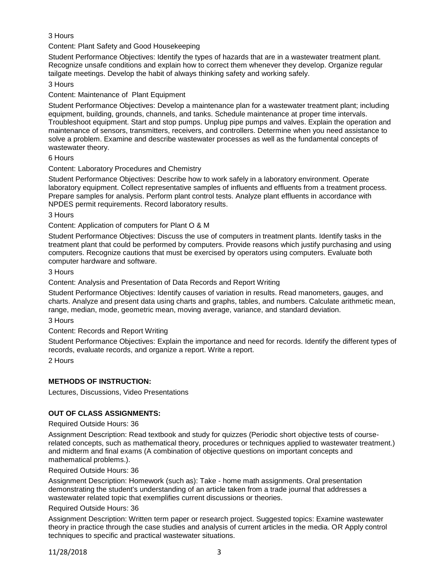# 3 Hours

Content: Plant Safety and Good Housekeeping

Student Performance Objectives: Identify the types of hazards that are in a wastewater treatment plant. Recognize unsafe conditions and explain how to correct them whenever they develop. Organize regular tailgate meetings. Develop the habit of always thinking safety and working safely.

### 3 Hours

Content: Maintenance of Plant Equipment

Student Performance Objectives: Develop a maintenance plan for a wastewater treatment plant; including equipment, building, grounds, channels, and tanks. Schedule maintenance at proper time intervals. Troubleshoot equipment. Start and stop pumps. Unplug pipe pumps and valves. Explain the operation and maintenance of sensors, transmitters, receivers, and controllers. Determine when you need assistance to solve a problem. Examine and describe wastewater processes as well as the fundamental concepts of wastewater theory.

6 Hours

### Content: Laboratory Procedures and Chemistry

Student Performance Objectives: Describe how to work safely in a laboratory environment. Operate laboratory equipment. Collect representative samples of influents and effluents from a treatment process. Prepare samples for analysis. Perform plant control tests. Analyze plant effluents in accordance with NPDES permit requirements. Record laboratory results.

3 Hours

Content: Application of computers for Plant O & M

Student Performance Objectives: Discuss the use of computers in treatment plants. Identify tasks in the treatment plant that could be performed by computers. Provide reasons which justify purchasing and using computers. Recognize cautions that must be exercised by operators using computers. Evaluate both computer hardware and software.

3 Hours

Content: Analysis and Presentation of Data Records and Report Writing

Student Performance Objectives: Identify causes of variation in results. Read manometers, gauges, and charts. Analyze and present data using charts and graphs, tables, and numbers. Calculate arithmetic mean, range, median, mode, geometric mean, moving average, variance, and standard deviation.

3 Hours

Content: Records and Report Writing

Student Performance Objectives: Explain the importance and need for records. Identify the different types of records, evaluate records, and organize a report. Write a report.

2 Hours

### **METHODS OF INSTRUCTION:**

Lectures, Discussions, Video Presentations

### **OUT OF CLASS ASSIGNMENTS:**

### Required Outside Hours: 36

Assignment Description: Read textbook and study for quizzes (Periodic short objective tests of courserelated concepts, such as mathematical theory, procedures or techniques applied to wastewater treatment.) and midterm and final exams (A combination of objective questions on important concepts and mathematical problems.).

Required Outside Hours: 36

Assignment Description: Homework (such as): Take - home math assignments. Oral presentation demonstrating the student's understanding of an article taken from a trade journal that addresses a wastewater related topic that exemplifies current discussions or theories.

#### Required Outside Hours: 36

Assignment Description: Written term paper or research project. Suggested topics: Examine wastewater theory in practice through the case studies and analysis of current articles in the media. OR Apply control techniques to specific and practical wastewater situations.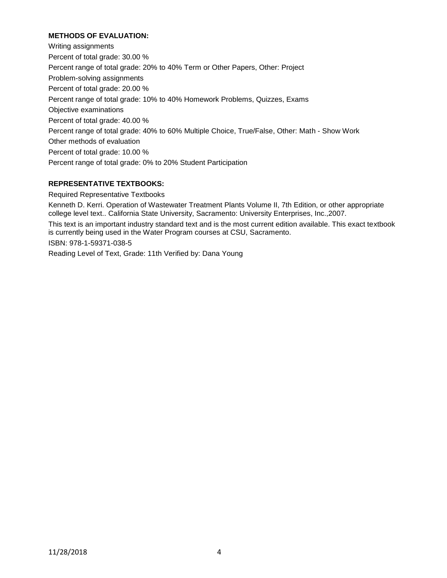# **METHODS OF EVALUATION:**

Writing assignments Percent of total grade: 30.00 % Percent range of total grade: 20% to 40% Term or Other Papers, Other: Project Problem-solving assignments Percent of total grade: 20.00 % Percent range of total grade: 10% to 40% Homework Problems, Quizzes, Exams Objective examinations Percent of total grade: 40.00 % Percent range of total grade: 40% to 60% Multiple Choice, True/False, Other: Math - Show Work Other methods of evaluation Percent of total grade: 10.00 % Percent range of total grade: 0% to 20% Student Participation

## **REPRESENTATIVE TEXTBOOKS:**

Required Representative Textbooks

Kenneth D. Kerri. Operation of Wastewater Treatment Plants Volume II, 7th Edition, or other appropriate college level text.. California State University, Sacramento: University Enterprises, Inc.,2007.

This text is an important industry standard text and is the most current edition available. This exact textbook is currently being used in the Water Program courses at CSU, Sacramento.

ISBN: 978-1-59371-038-5

Reading Level of Text, Grade: 11th Verified by: Dana Young